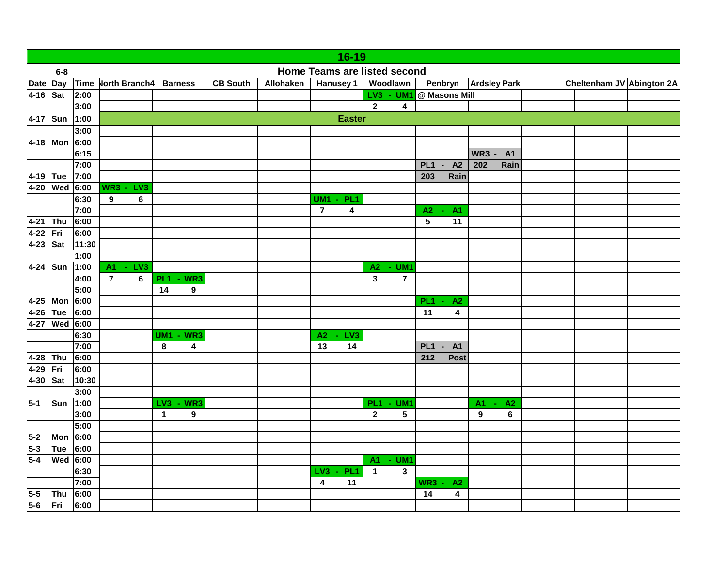|            | 16-19                                 |                       |                                          |                      |                  |           |                |                                   |                                              |   |                                                |              |           |                           |  |  |
|------------|---------------------------------------|-----------------------|------------------------------------------|----------------------|------------------|-----------|----------------|-----------------------------------|----------------------------------------------|---|------------------------------------------------|--------------|-----------|---------------------------|--|--|
|            | Home Teams are listed second<br>$6-8$ |                       |                                          |                      |                  |           |                |                                   |                                              |   |                                                |              |           |                           |  |  |
| Date Day   |                                       | Time                  | North Branch4 Barness                    |                      | <b>CB South</b>  | Allohaken |                | <b>Hanusey 1</b>                  | Woodlawn                                     |   | Penbryn<br><b>Ardsley Park</b>                 |              |           | Cheltenham JV Abington 2A |  |  |
| 4-16       | Sat                                   | 2:00                  |                                          |                      |                  |           |                |                                   | LV3 - UM1                                    |   | @ Masons Mill                                  |              |           |                           |  |  |
|            |                                       | 3:00                  |                                          |                      |                  |           |                |                                   | $\mathbf{2}$                                 | 4 |                                                |              |           |                           |  |  |
| 4-17 Sun   |                                       | <b>Easter</b><br>1:00 |                                          |                      |                  |           |                |                                   |                                              |   |                                                |              |           |                           |  |  |
|            |                                       | 3:00                  |                                          |                      |                  |           |                |                                   |                                              |   |                                                |              |           |                           |  |  |
| 4-18       | Mon 6:00                              |                       |                                          |                      |                  |           |                |                                   |                                              |   |                                                |              |           |                           |  |  |
|            |                                       | 6:15                  |                                          |                      |                  |           |                |                                   |                                              |   |                                                | <b>WR3 -</b> | <b>A1</b> |                           |  |  |
|            |                                       | 7:00                  |                                          |                      |                  |           |                |                                   |                                              |   | A2<br>PL <sub>1</sub><br>$\blacksquare$        | 202          | Rain      |                           |  |  |
| $ 4 - 19 $ | Tue                                   | 7:00                  |                                          |                      |                  |           |                |                                   |                                              |   | Rain<br>203                                    |              |           |                           |  |  |
| 4-20       | Wed                                   | 6:00                  | WR3<br>LV <sub>3</sub><br>$\blacksquare$ |                      |                  |           |                |                                   |                                              |   |                                                |              |           |                           |  |  |
|            |                                       | 6:30                  | $\boldsymbol{9}$<br>6                    |                      |                  |           | <b>UM1</b>     | PL <sub>1</sub><br>$\blacksquare$ |                                              |   |                                                |              |           |                           |  |  |
|            |                                       | 7:00                  |                                          |                      |                  |           | $\overline{7}$ | 4                                 |                                              |   | A2<br><b>A1</b><br>$\sim$                      |              |           |                           |  |  |
| $4 - 21$   | Thu                                   | 6:00                  |                                          |                      |                  |           |                |                                   |                                              |   | $5\phantom{.0}$<br>11                          |              |           |                           |  |  |
| $4 - 22$   | $\vert$ Fri                           | 6:00                  |                                          |                      |                  |           |                |                                   |                                              |   |                                                |              |           |                           |  |  |
| $4-23$ Sat |                                       | 11:30                 |                                          |                      |                  |           |                |                                   |                                              |   |                                                |              |           |                           |  |  |
|            |                                       | 1:00                  |                                          |                      |                  |           |                |                                   |                                              |   |                                                |              |           |                           |  |  |
| 4-24 Sun   |                                       | 1:00                  | LV3<br>$A1 -$                            |                      |                  |           |                |                                   | A2<br>UM <sub>1</sub>                        |   |                                                |              |           |                           |  |  |
|            |                                       | 4:00                  | $\overline{7}$<br>$\bf 6$                | <b>PL1 - WR3</b>     |                  |           |                |                                   | $\mathbf 3$<br>$\overline{7}$                |   |                                                |              |           |                           |  |  |
|            |                                       | 5:00                  |                                          | 14                   | 9                |           |                |                                   |                                              |   |                                                |              |           |                           |  |  |
| $4 - 25$   | Mon 6:00                              |                       |                                          |                      |                  |           |                |                                   |                                              |   | PL <sub>1</sub><br>A2                          |              |           |                           |  |  |
| 4-26       | Tue                                   | 6:00                  |                                          |                      |                  |           |                |                                   |                                              |   | $\overline{\mathbf{4}}$<br>11                  |              |           |                           |  |  |
| $4 - 27$   | <b>Wed</b> 6:00                       |                       |                                          |                      |                  |           |                |                                   |                                              |   |                                                |              |           |                           |  |  |
|            |                                       | 6:30                  |                                          | <b>UM1</b><br>$-WR3$ |                  |           | A2             | LV <sub>3</sub>                   |                                              |   |                                                |              |           |                           |  |  |
|            |                                       | 7:00                  |                                          | 8                    | 4                |           | 13             | 14                                |                                              |   | PL <sub>1</sub><br><b>A1</b><br>$\blacksquare$ |              |           |                           |  |  |
| 4-28       | Thu                                   | 6:00                  |                                          |                      |                  |           |                |                                   |                                              |   | Post<br>212                                    |              |           |                           |  |  |
| 4-29       | Fri                                   | 6:00                  |                                          |                      |                  |           |                |                                   |                                              |   |                                                |              |           |                           |  |  |
| 4-30       | Sat                                   | 10:30                 |                                          |                      |                  |           |                |                                   |                                              |   |                                                |              |           |                           |  |  |
|            |                                       | 3:00                  |                                          |                      |                  |           |                |                                   |                                              |   |                                                |              |           |                           |  |  |
| $5-1$      | Sun                                   | 1:00                  |                                          | LV3<br>$-WR3$        |                  |           |                |                                   | PL <sub>1</sub><br>UM <sub>1</sub><br>$\sim$ |   |                                                | A1<br>$\sim$ | A2        |                           |  |  |
|            |                                       | 3:00                  |                                          | $\mathbf{1}$         | $\boldsymbol{9}$ |           |                |                                   | $\mathbf{2}$                                 | 5 |                                                | 9            | 6         |                           |  |  |
|            |                                       | 5:00                  |                                          |                      |                  |           |                |                                   |                                              |   |                                                |              |           |                           |  |  |
| $5-2$      | Mon 6:00                              |                       |                                          |                      |                  |           |                |                                   |                                              |   |                                                |              |           |                           |  |  |
| $5-3$      | Tue                                   | 6:00                  |                                          |                      |                  |           |                |                                   |                                              |   |                                                |              |           |                           |  |  |
| 5-4        | <b>Wed</b> 6:00                       |                       |                                          |                      |                  |           |                |                                   | A1 - UM1                                     |   |                                                |              |           |                           |  |  |
|            |                                       | 6:30                  |                                          |                      |                  |           | LV3            | PL <sub>1</sub><br>$\blacksquare$ | 1                                            | 3 |                                                |              |           |                           |  |  |
|            |                                       | 7:00                  |                                          |                      |                  |           | 4              | 11                                |                                              |   | <b>WR3 -</b><br>A2                             |              |           |                           |  |  |
| $5-5$      | Thu                                   | 6:00                  |                                          |                      |                  |           |                |                                   |                                              |   | 14<br>$\overline{\mathbf{4}}$                  |              |           |                           |  |  |
| $5-6$      | Fri                                   | 6:00                  |                                          |                      |                  |           |                |                                   |                                              |   |                                                |              |           |                           |  |  |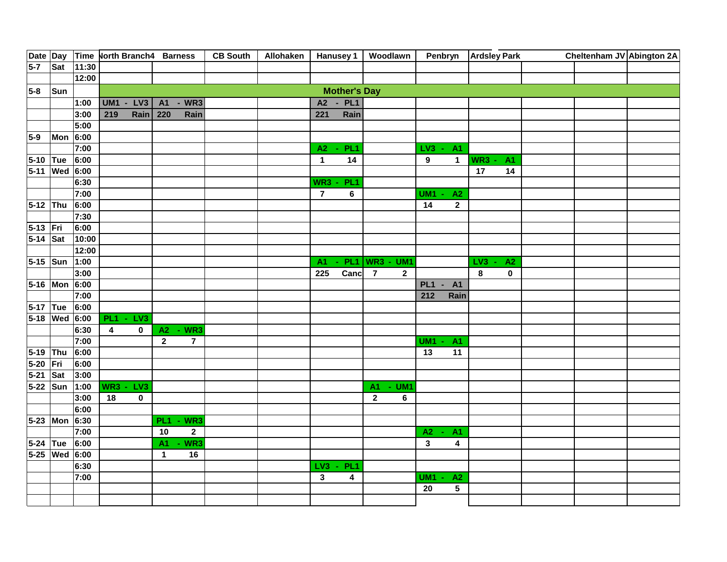|            |               |       | Date Day Time North Branch4 Barness |                                | <b>CB South</b> | <b>Allohaken</b> |                |                           | Hanusey 1   Woodlawn                           |                  |                             | Penbryn Ardsley Park  |             | Cheltenham JV Abington 2A |  |
|------------|---------------|-------|-------------------------------------|--------------------------------|-----------------|------------------|----------------|---------------------------|------------------------------------------------|------------------|-----------------------------|-----------------------|-------------|---------------------------|--|
| $5-7$      | Sat           | 11:30 |                                     |                                |                 |                  |                |                           |                                                |                  |                             |                       |             |                           |  |
|            |               | 12:00 |                                     |                                |                 |                  |                |                           |                                                |                  |                             |                       |             |                           |  |
| $5-8$      | Sun           |       |                                     |                                |                 |                  |                | <b>Mother's Day</b>       |                                                |                  |                             |                       |             |                           |  |
|            |               | 1:00  | <b>UM1 - LV3</b>                    | $-WR3$<br><b>A1</b>            |                 |                  |                | A2 - PL1                  |                                                |                  |                             |                       |             |                           |  |
|            |               | 3:00  | 219<br>Rain                         | 220<br>Rain                    |                 |                  | 221            | Rain                      |                                                |                  |                             |                       |             |                           |  |
|            |               | 5:00  |                                     |                                |                 |                  |                |                           |                                                |                  |                             |                       |             |                           |  |
| $5-9$      | Mon 6:00      |       |                                     |                                |                 |                  |                |                           |                                                |                  |                             |                       |             |                           |  |
|            |               | 7:00  |                                     |                                |                 |                  |                | A2 - PL1                  |                                                | $LV3 -$          | A <sub>1</sub>              |                       |             |                           |  |
| 5-10 Tue   |               | 6:00  |                                     |                                |                 |                  | $\mathbf{1}$   | 14                        |                                                | $\boldsymbol{9}$ | $\mathbf{1}$                | WR3<br>$\blacksquare$ | <b>A1</b>   |                           |  |
|            | 5-11 Wed 6:00 |       |                                     |                                |                 |                  |                |                           |                                                |                  |                             | 17                    | 14          |                           |  |
|            |               | 6:30  |                                     |                                |                 |                  | WR3            | PL <sub>1</sub><br>$\sim$ |                                                |                  |                             |                       |             |                           |  |
|            |               | 7:00  |                                     |                                |                 |                  | $\overline{7}$ | 6                         |                                                | <b>UM1</b>       | A2                          |                       |             |                           |  |
| 5-12 Thu   |               | 6:00  |                                     |                                |                 |                  |                |                           |                                                | 14               | $\mathbf{2}$                |                       |             |                           |  |
|            |               | 7:30  |                                     |                                |                 |                  |                |                           |                                                |                  |                             |                       |             |                           |  |
| 5-13 Fri   |               | 6:00  |                                     |                                |                 |                  |                |                           |                                                |                  |                             |                       |             |                           |  |
| $5-14$ Sat |               | 10:00 |                                     |                                |                 |                  |                |                           |                                                |                  |                             |                       |             |                           |  |
|            |               | 12:00 |                                     |                                |                 |                  |                |                           |                                                |                  |                             |                       |             |                           |  |
| 5-15 Sun   |               | 1:00  |                                     |                                |                 |                  | A <sub>1</sub> | PL <sub>1</sub>           | <b>WR3 - UM1</b>                               |                  |                             | LV <sub>3</sub>       | A2          |                           |  |
|            |               | 3:00  |                                     |                                |                 |                  | 225            | Canc                      | $\overline{7}$<br>$\mathbf{2}$                 |                  |                             | 8                     | $\mathbf 0$ |                           |  |
|            | 5-16 Mon 6:00 |       |                                     |                                |                 |                  |                |                           |                                                | PL <sub>1</sub>  | <b>A1</b><br>$\blacksquare$ |                       |             |                           |  |
|            |               | 7:00  |                                     |                                |                 |                  |                |                           |                                                | 212              | Rain                        |                       |             |                           |  |
| 5-17 Tue   |               | 6:00  |                                     |                                |                 |                  |                |                           |                                                |                  |                             |                       |             |                           |  |
|            | 5-18 Wed 6:00 |       | <b>PL1 - LV3</b>                    |                                |                 |                  |                |                           |                                                |                  |                             |                       |             |                           |  |
|            |               | 6:30  | 0<br>4                              | A2 - WR3                       |                 |                  |                |                           |                                                |                  |                             |                       |             |                           |  |
|            |               | 7:00  |                                     | $\mathbf{2}$<br>$\overline{7}$ |                 |                  |                |                           |                                                | <b>UM1</b>       | <b>A1</b>                   |                       |             |                           |  |
| $5 - 19$   | Thu           | 6:00  |                                     |                                |                 |                  |                |                           |                                                | 13               | 11                          |                       |             |                           |  |
| $5 - 20$   | Fri           | 6:00  |                                     |                                |                 |                  |                |                           |                                                |                  |                             |                       |             |                           |  |
| $5 - 21$   | Sat           | 3:00  |                                     |                                |                 |                  |                |                           |                                                |                  |                             |                       |             |                           |  |
| 5-22 Sun   |               | 1:00  | $WR3 -$<br>LV <sub>3</sub>          |                                |                 |                  |                |                           | UM <sub>1</sub><br><b>A1</b><br>$\blacksquare$ |                  |                             |                       |             |                           |  |
|            |               | 3:00  | 18<br>$\overline{\mathbf{0}}$       |                                |                 |                  |                |                           | $\overline{2}$<br>$\bf 6$                      |                  |                             |                       |             |                           |  |
|            |               | 6:00  |                                     |                                |                 |                  |                |                           |                                                |                  |                             |                       |             |                           |  |
|            | 5-23 Mon 6:30 |       |                                     | $-WR3$<br>PL <sub>1</sub>      |                 |                  |                |                           |                                                |                  |                             |                       |             |                           |  |
|            |               | 7:00  |                                     | $\mathbf{2}$<br>10             |                 |                  |                |                           |                                                | $A2 -$           | <b>A1</b>                   |                       |             |                           |  |
| 5-24 Tue   |               | 6:00  |                                     | $-WR3$<br>A1                   |                 |                  |                |                           |                                                | 3                | 4                           |                       |             |                           |  |
|            | 5-25 Wed 6:00 |       |                                     | 16<br>$\mathbf{1}$             |                 |                  |                |                           |                                                |                  |                             |                       |             |                           |  |
|            |               | 6:30  |                                     |                                |                 |                  | LV3            | PL <sub>1</sub><br>$\sim$ |                                                |                  |                             |                       |             |                           |  |
|            |               | 7:00  |                                     |                                |                 |                  | $\mathbf{3}$   | 4                         |                                                | <b>UM1</b>       | A2<br>$\blacksquare$        |                       |             |                           |  |
|            |               |       |                                     |                                |                 |                  |                |                           |                                                | 20               | $5\phantom{.0}$             |                       |             |                           |  |
|            |               |       |                                     |                                |                 |                  |                |                           |                                                |                  |                             |                       |             |                           |  |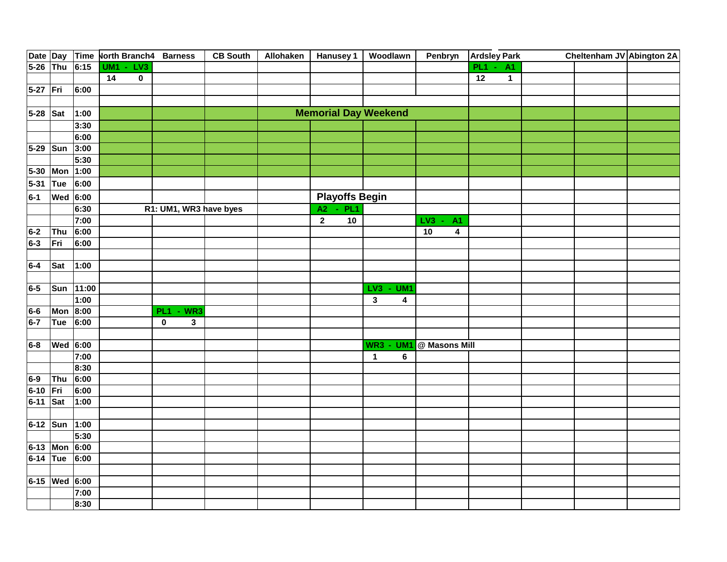|            |                 |       | Date Day Time North Branch4 Barness |                             | <b>CB South</b> | Allohaken   Hanusey 1   Woodlawn |                                          | Penbryn                            | <b>Ardsley Park</b> | Cheltenham JV Abington 2A |  |
|------------|-----------------|-------|-------------------------------------|-----------------------------|-----------------|----------------------------------|------------------------------------------|------------------------------------|---------------------|---------------------------|--|
| 5-26 Thu   |                 | 6:15  | <b>UM1 - LV3</b>                    |                             |                 |                                  |                                          |                                    | $PL1 - A1$          |                           |  |
|            |                 |       | 14<br>$\pmb{0}$                     |                             |                 |                                  |                                          |                                    | 12<br>$\mathbf 1$   |                           |  |
| 5-27 Fri   |                 | 6:00  |                                     |                             |                 |                                  |                                          |                                    |                     |                           |  |
|            |                 |       |                                     |                             |                 |                                  |                                          |                                    |                     |                           |  |
| 5-28 Sat   |                 | 1:00  |                                     |                             |                 | <b>Memorial Day Weekend</b>      |                                          |                                    |                     |                           |  |
|            |                 | 3:30  |                                     |                             |                 |                                  |                                          |                                    |                     |                           |  |
|            |                 | 6:00  |                                     |                             |                 |                                  |                                          |                                    |                     |                           |  |
| $5-29$ Sun |                 | 3:00  |                                     |                             |                 |                                  |                                          |                                    |                     |                           |  |
|            |                 | 5:30  |                                     |                             |                 |                                  |                                          |                                    |                     |                           |  |
| $5 - 30$   | Mon 1:00        |       |                                     |                             |                 |                                  |                                          |                                    |                     |                           |  |
| $5 - 31$   | Tue             | 6:00  |                                     |                             |                 |                                  |                                          |                                    |                     |                           |  |
| $6-1$      | <b>Wed</b> 6:00 |       |                                     |                             |                 | <b>Playoffs Begin</b>            |                                          |                                    |                     |                           |  |
|            |                 | 6:30  |                                     | R1: UM1, WR3 have byes      |                 | A2 - PL1                         |                                          |                                    |                     |                           |  |
|            |                 | 7:00  |                                     |                             |                 | $\overline{2}$<br>10             |                                          | LV3<br><b>A1</b><br>$\blacksquare$ |                     |                           |  |
| $6-2$      | Thu             | 6:00  |                                     |                             |                 |                                  |                                          | 10<br>$\overline{\mathbf{4}}$      |                     |                           |  |
| $6-3$      | Fri             | 6:00  |                                     |                             |                 |                                  |                                          |                                    |                     |                           |  |
|            |                 |       |                                     |                             |                 |                                  |                                          |                                    |                     |                           |  |
| $6-4$      | Sat             | 1:00  |                                     |                             |                 |                                  |                                          |                                    |                     |                           |  |
|            |                 |       |                                     |                             |                 |                                  |                                          |                                    |                     |                           |  |
| 6-5        | Sun             | 11:00 |                                     |                             |                 |                                  | LV3<br>UM <sub>1</sub><br>$\blacksquare$ |                                    |                     |                           |  |
|            |                 | 1:00  |                                     |                             |                 |                                  | $\mathbf{3}$<br>4                        |                                    |                     |                           |  |
| 6-6        | Mon 8:00        |       |                                     | <b>PL1 - WR3</b>            |                 |                                  |                                          |                                    |                     |                           |  |
| $6-7$      | Tue             | 6:00  |                                     | $\mathbf 0$<br>$\mathbf{3}$ |                 |                                  |                                          |                                    |                     |                           |  |
|            |                 |       |                                     |                             |                 |                                  |                                          |                                    |                     |                           |  |
| $6-8$      | <b>Wed</b> 6:00 |       |                                     |                             |                 |                                  | UM <sub>1</sub><br><b>WR3 -</b>          | @ Masons Mill                      |                     |                           |  |
|            |                 | 7:00  |                                     |                             |                 |                                  | $\mathbf{1}$<br>6                        |                                    |                     |                           |  |
|            |                 | 8:30  |                                     |                             |                 |                                  |                                          |                                    |                     |                           |  |
| 6-9        | Thu             | 6:00  |                                     |                             |                 |                                  |                                          |                                    |                     |                           |  |
| $6 - 10$   | Fri             | 6:00  |                                     |                             |                 |                                  |                                          |                                    |                     |                           |  |
| 6-11 Sat   |                 | 1:00  |                                     |                             |                 |                                  |                                          |                                    |                     |                           |  |
|            |                 |       |                                     |                             |                 |                                  |                                          |                                    |                     |                           |  |
| 6-12 Sun   |                 | 1:00  |                                     |                             |                 |                                  |                                          |                                    |                     |                           |  |
|            |                 | 5:30  |                                     |                             |                 |                                  |                                          |                                    |                     |                           |  |
|            | 6-13 Mon        | 6:00  |                                     |                             |                 |                                  |                                          |                                    |                     |                           |  |
| $6-14$ Tue |                 | 6:00  |                                     |                             |                 |                                  |                                          |                                    |                     |                           |  |
|            |                 |       |                                     |                             |                 |                                  |                                          |                                    |                     |                           |  |
|            | 6-15 Wed 6:00   |       |                                     |                             |                 |                                  |                                          |                                    |                     |                           |  |
|            |                 | 7:00  |                                     |                             |                 |                                  |                                          |                                    |                     |                           |  |
|            |                 | 8:30  |                                     |                             |                 |                                  |                                          |                                    |                     |                           |  |